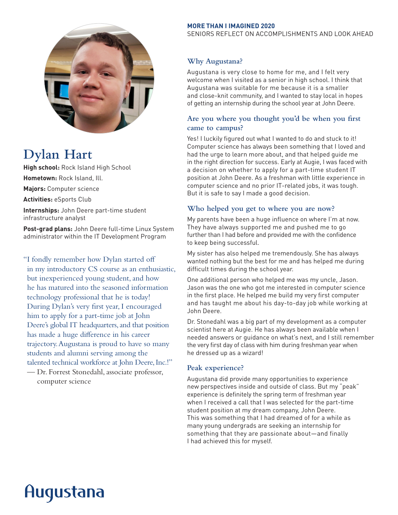

# **Dylan Hart**

**High school:** Rock Island High School **Hometown:** Rock Island, Ill. **Majors:** Computer science **Activities:** eSports Club **Internships:** John Deere part-time student infrastructure analyst

**Post-grad plans:** John Deere full-time Linux System administrator within the IT Development Program

"I fondly remember how Dylan started off in my introductory CS course as an enthusiastic, but inexperienced young student, and how he has matured into the seasoned information technology professional that he is today! During Dylan's very first year, I encouraged him to apply for a part-time job at John Deere's global IT headquarters, and that position has made a huge difference in his career trajectory. Augustana is proud to have so many students and alumni serving among the talented technical workforce at John Deere, Inc.!"

— Dr. Forrest Stonedahl, associate professor, computer science

#### **MORE THAN I IMAGINED 2020**

SENIORS REFLECT ON ACCOMPLISHMENTS AND LOOK AHEAD

# **Why Augustana?**

Augustana is very close to home for me, and I felt very welcome when I visited as a senior in high school. I think that Augustana was suitable for me because it is a smaller and close-knit community, and I wanted to stay local in hopes of getting an internship during the school year at John Deere.

# **Are you where you thought you'd be when you first came to campus?**

Yes! I luckily figured out what I wanted to do and stuck to it! Computer science has always been something that I loved and had the urge to learn more about, and that helped guide me in the right direction for success. Early at Augie, I was faced with a decision on whether to apply for a part-time student IT position at John Deere. As a freshman with little experience in computer science and no prior IT-related jobs, it was tough. But it is safe to say I made a good decision.

## **Who helped you get to where you are now?**

My parents have been a huge influence on where I'm at now. They have always supported me and pushed me to go further than I had before and provided me with the confidence to keep being successful.

My sister has also helped me tremendously. She has always wanted nothing but the best for me and has helped me during difficult times during the school year.

One additional person who helped me was my uncle, Jason. Jason was the one who got me interested in computer science in the first place. He helped me build my very first computer and has taught me about his day-to-day job while working at John Deere.

Dr. Stonedahl was a big part of my development as a computer scientist here at Augie. He has always been available when I needed answers or guidance on what's next, and I still remember the very first day of class with him during freshman year when he dressed up as a wizard!

## **Peak experience?**

Augustana did provide many opportunities to experience new perspectives inside and outside of class. But my "peak" experience is definitely the spring term of freshman year when I received a call that I was selected for the part-time student position at my dream company, John Deere. This was something that I had dreamed of for a while as many young undergrads are seeking an internship for something that they are passionate about—and finally I had achieved this for myself.

# Augustana